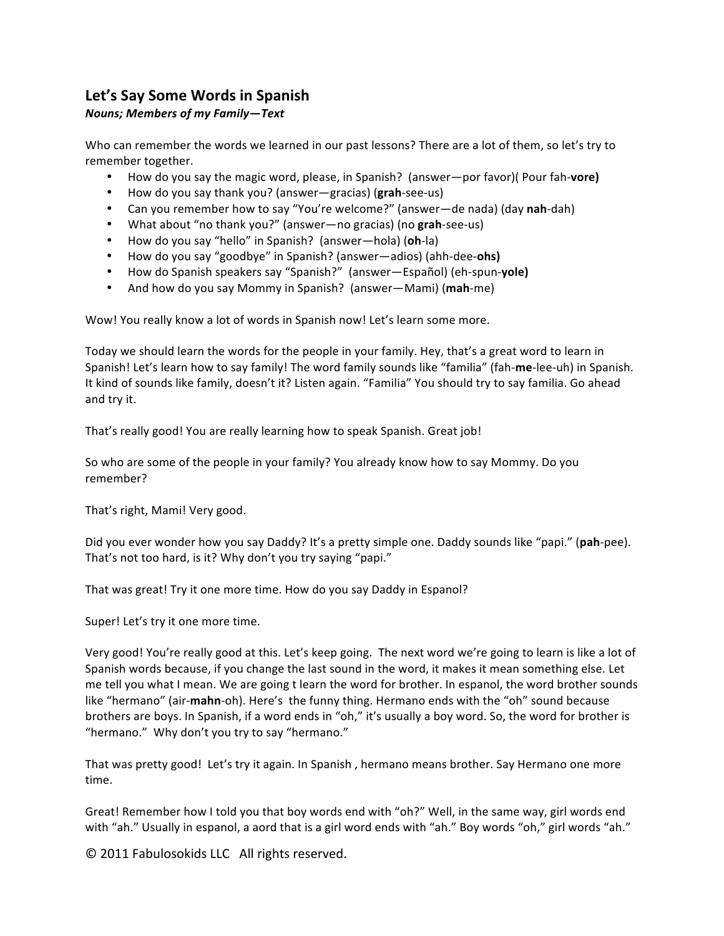## Let's Say Some Words in Spanish

## *Nouns;'Members'of'my'Family—Text*

Who can remember the words we learned in our past lessons? There are a lot of them, so let's try to remember together.

- How do you say the magic word, please, in Spanish? (answer—por favor)( Pour fah-**vore)**
- How do you say thank you? (answer—gracias) (grah-see-us)
- Can you remember how to say "You're welcome?" (answer—de nada) (day nah-dah)
- What about "no thank you?" (answer—no gracias) (no **grah**-see-us)
- How do you say "hello" in Spanish? (answer—hola) (oh-la)
- How do you say "goodbye" in Spanish? (answer—adios) (ahh-dee-ohs)
- How do Spanish speakers say "Spanish?" (answer—Español) (eh-spun-yole)
- And how do you say Mommy in Spanish? (answer—Mami) (mah-me)

Wow! You really know a lot of words in Spanish now! Let's learn some more.

Today we should learn the words for the people in your family. Hey, that's a great word to learn in Spanish! Let's learn how to say family! The word family sounds like "familia" (fah-me-lee-uh) in Spanish. It kind of sounds like family, doesn't it? Listen again. "Familia" You should try to say familia. Go ahead and try it.

That's really good! You are really learning how to speak Spanish. Great job!

So who are some of the people in your family? You already know how to say Mommy. Do you remember?"

That's right, Mami! Very good.

Did you ever wonder how you say Daddy? It's a pretty simple one. Daddy sounds like "papi." (pah-pee). That's not too hard, is it? Why don't you try saying "papi."

That was great! Try it one more time. How do you say Daddy in Espanol?

Super! Let's try it one more time.

Very good! You're really good at this. Let's keep going. The next word we're going to learn is like a lot of Spanish words because, if you change the last sound in the word, it makes it mean something else. Let me tell you what I mean. We are going t learn the word for brother. In espanol, the word brother sounds like "hermano" (air-mahn-oh). Here's the funny thing. Hermano ends with the "oh" sound because brothers are boys. In Spanish, if a word ends in "oh," it's usually a boy word. So, the word for brother is "hermano." Why don't you try to say "hermano."

That was pretty good! Let's try it again. In Spanish, hermano means brother. Say Hermano one more time.

Great! Remember how I told you that boy words end with "oh?" Well, in the same way, girl words end with "ah." Usually in espanol, a aord that is a girl word ends with "ah." Boy words "oh," girl words "ah."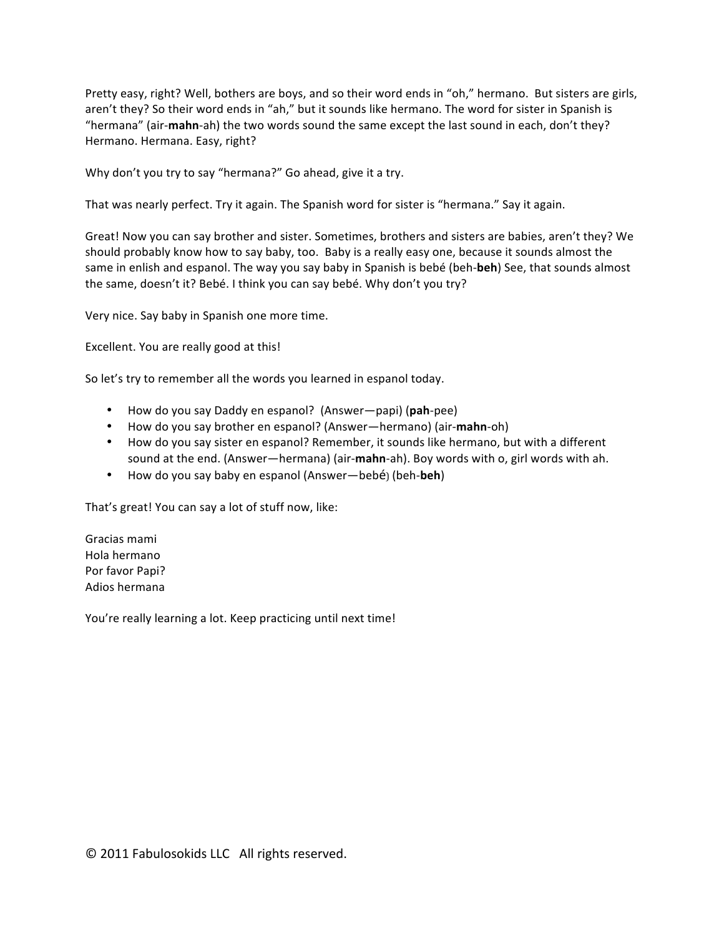Pretty easy, right? Well, bothers are boys, and so their word ends in "oh," hermano. But sisters are girls, aren't they? So their word ends in "ah," but it sounds like hermano. The word for sister in Spanish is "hermana" (air-**mahn**-ah) the two words sound the same except the last sound in each, don't they? Hermano. Hermana. Easy, right?

Why don't you try to say "hermana?" Go ahead, give it a try.

That was nearly perfect. Try it again. The Spanish word for sister is "hermana." Say it again.

Great! Now you can say brother and sister. Sometimes, brothers and sisters are babies, aren't they? We should probably know how to say baby, too. Baby is a really easy one, because it sounds almost the same in enlish and espanol. The way you say baby in Spanish is bebé (beh-beh) See, that sounds almost the same, doesn't it? Bebé. I think you can say bebé. Why don't you try?

Very nice. Say baby in Spanish one more time.

Excellent. You are really good at this!

So let's try to remember all the words you learned in espanol today.

- How do you say Daddy en espanol? (Answer—papi) (pah-pee)
- How do you say brother en espanol? (Answer—hermano) (air-**mahn**-oh)
- How do you say sister en espanol? Remember, it sounds like hermano, but with a different sound at the end. (Answer—hermana) (air-**mahn**-ah). Boy words with o, girl words with ah.
- How do you say baby en espanol (Answer—bebé) (beh-**beh**)

That's great! You can say a lot of stuff now, like:

Gracias mami Hola hermano Por favor Papi? Adios hermana

You're really learning a lot. Keep practicing until next time!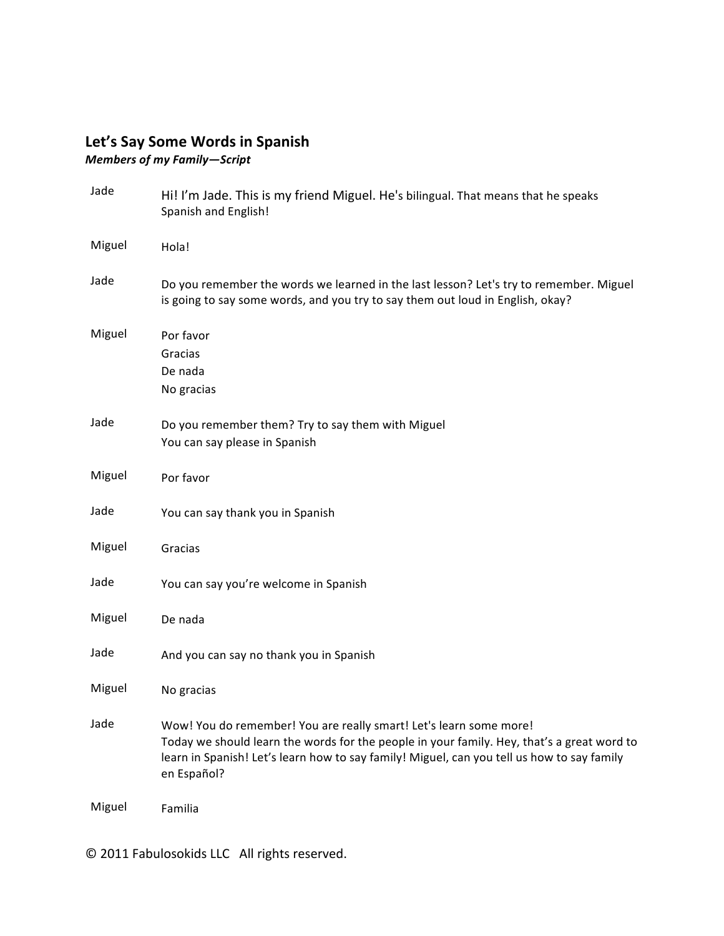## Let's Say Some Words in Spanish

*Members'of'my'Family—Script*

| Jade   | Hi! I'm Jade. This is my friend Miguel. He's bilingual. That means that he speaks<br>Spanish and English!                                                                                                                                                                     |
|--------|-------------------------------------------------------------------------------------------------------------------------------------------------------------------------------------------------------------------------------------------------------------------------------|
| Miguel | Hola!                                                                                                                                                                                                                                                                         |
| Jade   | Do you remember the words we learned in the last lesson? Let's try to remember. Miguel<br>is going to say some words, and you try to say them out loud in English, okay?                                                                                                      |
| Miguel | Por favor<br>Gracias<br>De nada<br>No gracias                                                                                                                                                                                                                                 |
| Jade   | Do you remember them? Try to say them with Miguel<br>You can say please in Spanish                                                                                                                                                                                            |
| Miguel | Por favor                                                                                                                                                                                                                                                                     |
| Jade   | You can say thank you in Spanish                                                                                                                                                                                                                                              |
| Miguel | Gracias                                                                                                                                                                                                                                                                       |
| Jade   | You can say you're welcome in Spanish                                                                                                                                                                                                                                         |
| Miguel | De nada                                                                                                                                                                                                                                                                       |
| Jade   | And you can say no thank you in Spanish                                                                                                                                                                                                                                       |
| Miguel | No gracias                                                                                                                                                                                                                                                                    |
| Jade   | Wow! You do remember! You are really smart! Let's learn some more!<br>Today we should learn the words for the people in your family. Hey, that's a great word to<br>learn in Spanish! Let's learn how to say family! Miguel, can you tell us how to say family<br>en Español? |
| Miguel | Familia                                                                                                                                                                                                                                                                       |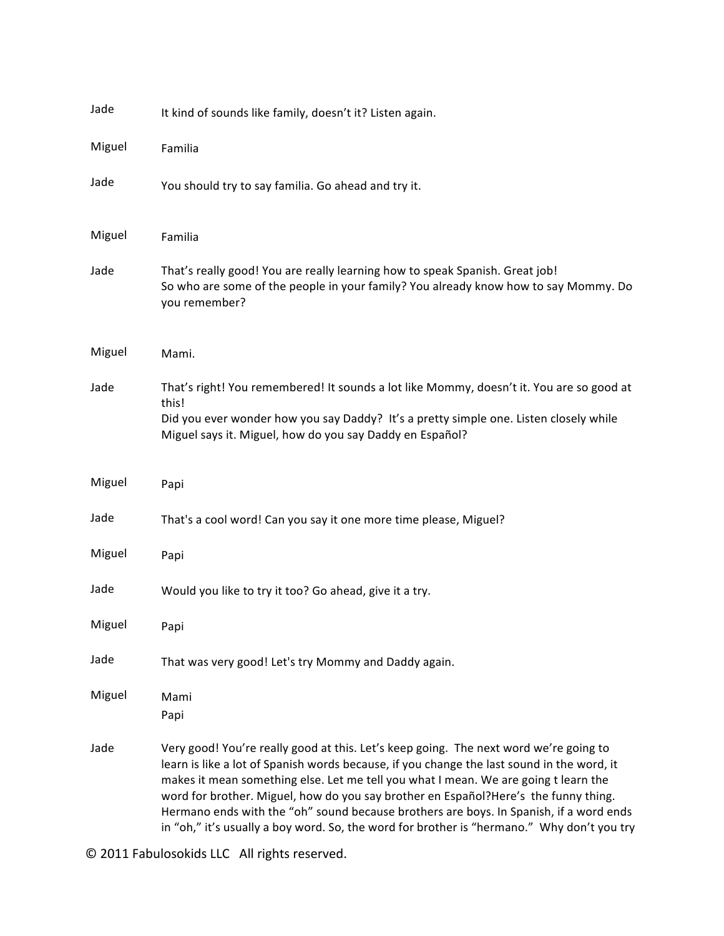| Jade   | It kind of sounds like family, doesn't it? Listen again.                                                                                                                                                                                                                                                                                                                                                                                                                                                                                                  |
|--------|-----------------------------------------------------------------------------------------------------------------------------------------------------------------------------------------------------------------------------------------------------------------------------------------------------------------------------------------------------------------------------------------------------------------------------------------------------------------------------------------------------------------------------------------------------------|
| Miguel | Familia                                                                                                                                                                                                                                                                                                                                                                                                                                                                                                                                                   |
| Jade   | You should try to say familia. Go ahead and try it.                                                                                                                                                                                                                                                                                                                                                                                                                                                                                                       |
| Miguel | Familia                                                                                                                                                                                                                                                                                                                                                                                                                                                                                                                                                   |
| Jade   | That's really good! You are really learning how to speak Spanish. Great job!<br>So who are some of the people in your family? You already know how to say Mommy. Do<br>you remember?                                                                                                                                                                                                                                                                                                                                                                      |
| Miguel | Mami.                                                                                                                                                                                                                                                                                                                                                                                                                                                                                                                                                     |
| Jade   | That's right! You remembered! It sounds a lot like Mommy, doesn't it. You are so good at<br>this!<br>Did you ever wonder how you say Daddy? It's a pretty simple one. Listen closely while<br>Miguel says it. Miguel, how do you say Daddy en Español?                                                                                                                                                                                                                                                                                                    |
| Miguel | Papi                                                                                                                                                                                                                                                                                                                                                                                                                                                                                                                                                      |
| Jade   | That's a cool word! Can you say it one more time please, Miguel?                                                                                                                                                                                                                                                                                                                                                                                                                                                                                          |
| Miguel | Papi                                                                                                                                                                                                                                                                                                                                                                                                                                                                                                                                                      |
| Jade   | Would you like to try it too? Go ahead, give it a try.                                                                                                                                                                                                                                                                                                                                                                                                                                                                                                    |
| Miguel | Papi                                                                                                                                                                                                                                                                                                                                                                                                                                                                                                                                                      |
| Jade   | That was very good! Let's try Mommy and Daddy again.                                                                                                                                                                                                                                                                                                                                                                                                                                                                                                      |
| Miguel | Mami<br>Papi                                                                                                                                                                                                                                                                                                                                                                                                                                                                                                                                              |
| Jade   | Very good! You're really good at this. Let's keep going. The next word we're going to<br>learn is like a lot of Spanish words because, if you change the last sound in the word, it<br>makes it mean something else. Let me tell you what I mean. We are going t learn the<br>word for brother. Miguel, how do you say brother en Español?Here's the funny thing.<br>Hermano ends with the "oh" sound because brothers are boys. In Spanish, if a word ends<br>in "oh," it's usually a boy word. So, the word for brother is "hermano." Why don't you try |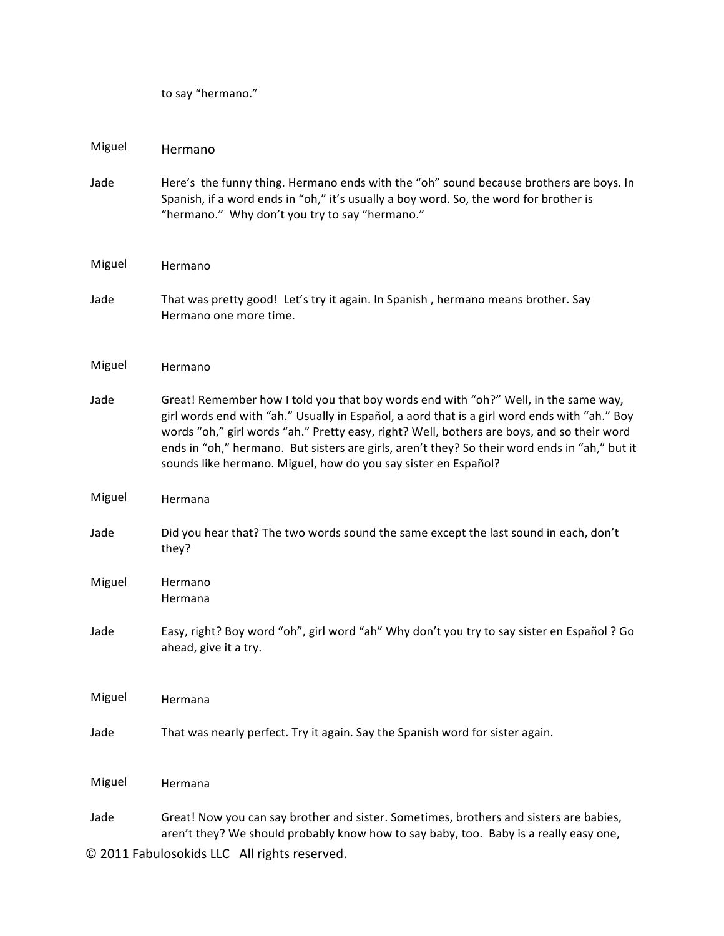to say "hermano."

| Miguel                                       | Hermano                                                                                                                                                                                                                                                                                                                                                                                                                                              |  |
|----------------------------------------------|------------------------------------------------------------------------------------------------------------------------------------------------------------------------------------------------------------------------------------------------------------------------------------------------------------------------------------------------------------------------------------------------------------------------------------------------------|--|
| Jade                                         | Here's the funny thing. Hermano ends with the "oh" sound because brothers are boys. In<br>Spanish, if a word ends in "oh," it's usually a boy word. So, the word for brother is<br>"hermano." Why don't you try to say "hermano."                                                                                                                                                                                                                    |  |
| Miguel                                       | Hermano                                                                                                                                                                                                                                                                                                                                                                                                                                              |  |
| Jade                                         | That was pretty good! Let's try it again. In Spanish, hermano means brother. Say<br>Hermano one more time.                                                                                                                                                                                                                                                                                                                                           |  |
| Miguel                                       | Hermano                                                                                                                                                                                                                                                                                                                                                                                                                                              |  |
| Jade                                         | Great! Remember how I told you that boy words end with "oh?" Well, in the same way,<br>girl words end with "ah." Usually in Español, a aord that is a girl word ends with "ah." Boy<br>words "oh," girl words "ah." Pretty easy, right? Well, bothers are boys, and so their word<br>ends in "oh," hermano. But sisters are girls, aren't they? So their word ends in "ah," but it<br>sounds like hermano. Miguel, how do you say sister en Español? |  |
| Miguel                                       | Hermana                                                                                                                                                                                                                                                                                                                                                                                                                                              |  |
| Jade                                         | Did you hear that? The two words sound the same except the last sound in each, don't<br>they?                                                                                                                                                                                                                                                                                                                                                        |  |
| Miguel                                       | Hermano<br>Hermana                                                                                                                                                                                                                                                                                                                                                                                                                                   |  |
| Jade                                         | Easy, right? Boy word "oh", girl word "ah" Why don't you try to say sister en Español ? Go<br>ahead, give it a try.                                                                                                                                                                                                                                                                                                                                  |  |
| Miguel                                       | Hermana                                                                                                                                                                                                                                                                                                                                                                                                                                              |  |
| Jade                                         | That was nearly perfect. Try it again. Say the Spanish word for sister again.                                                                                                                                                                                                                                                                                                                                                                        |  |
| Miguel                                       | Hermana                                                                                                                                                                                                                                                                                                                                                                                                                                              |  |
| Jade                                         | Great! Now you can say brother and sister. Sometimes, brothers and sisters are babies,<br>aren't they? We should probably know how to say baby, too. Baby is a really easy one,                                                                                                                                                                                                                                                                      |  |
| © 2011 Fabulosokids LLC All rights reserved. |                                                                                                                                                                                                                                                                                                                                                                                                                                                      |  |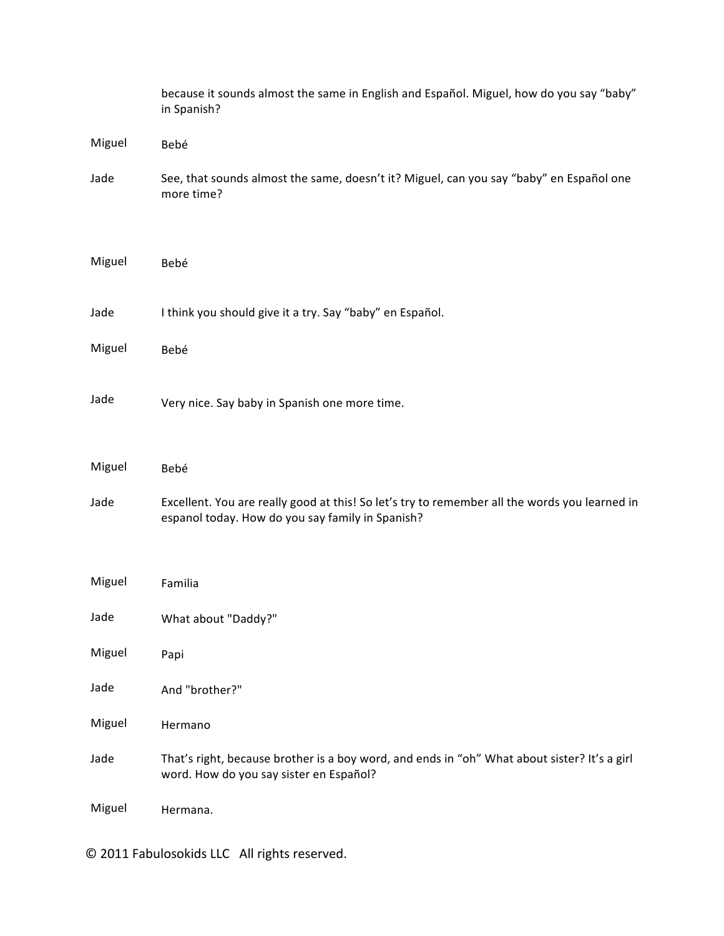|        | because it sounds almost the same in English and Español. Miguel, how do you say "baby"<br>in Spanish?                                            |
|--------|---------------------------------------------------------------------------------------------------------------------------------------------------|
| Miguel | Bebé                                                                                                                                              |
| Jade   | See, that sounds almost the same, doesn't it? Miguel, can you say "baby" en Español one<br>more time?                                             |
| Miguel | Bebé                                                                                                                                              |
| Jade   | I think you should give it a try. Say "baby" en Español.                                                                                          |
| Miguel | Bebé                                                                                                                                              |
| Jade   | Very nice. Say baby in Spanish one more time.                                                                                                     |
| Miguel | Bebé                                                                                                                                              |
| Jade   | Excellent. You are really good at this! So let's try to remember all the words you learned in<br>espanol today. How do you say family in Spanish? |
| Miguel | Familia                                                                                                                                           |
| Jade   | What about "Daddy?"                                                                                                                               |
| Miguel | Papi                                                                                                                                              |
| Jade   | And "brother?"                                                                                                                                    |
| Miguel | Hermano                                                                                                                                           |
| Jade   | That's right, because brother is a boy word, and ends in "oh" What about sister? It's a girl<br>word. How do you say sister en Español?           |
| Miguel | Hermana.                                                                                                                                          |